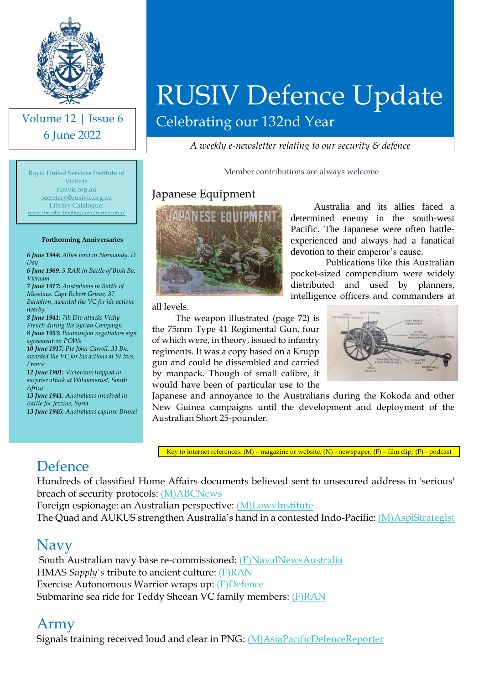

Volume 12 | Issue 6 6 June 2022

Royal United Services Institute of Victoria rusivic.org.au [secretary@rusivic.org.au](mailto:secretary@rusivic.org.au) Library Catalogue: ecollectingbug.com/ru

**Forthcoming Anniversaries** *6 June 1944: Allies land in Normandy. D* 

*6 June 1969: 5 RAR in Battle of Binh Ba,* 

*7 June 1917: Australians in Battle of Messines. Capt Robert Grieve, 37 Battalion, awarded the VC for his actions* 

*8 June 1941: 7th Div attacks Vichy French during the Syrian Campaign 8 June 1953: Panmunjon negotiators sign* 

*10 June 1917: Pte John Carroll, 33 Bn, awarded the VC for his actions at St Ives,* 

*12 June 1901: Victorians trapped in surprise attack at Wilmansrust, South* 

*13 June 1941: Australians involved in* 

*13 June 1945: Australians capture Brunei*

*agreement on POWs*

*Battle for Jezzine, Syria*

*Day*

*Vietnam*

*nearby*

*France*

*Africa*

# RUSIV Defence Update

Celebrating our 132nd Year

*A weekly e-newsletter relating to our security & defence*

Member contributions are always welcome

#### Japanese Equipment



Australia and its allies faced a determined enemy in the south-west Pacific. The Japanese were often battleexperienced and always had a fanatical devotion to their emperor's cause.

Publications like this Australian pocket-sized compendium were widely distributed and used by planners, intelligence officers and commanders at

all levels.

The weapon illustrated (page 72) is would have been of particular use to the



Japanese and annoyance to the Australians during the Kokoda and other New Guinea campaigns until the development and deployment of the Australian Short 25-pounder.

Key to internet references: (M) – magazine or website; (N) - newspaper; (F) – film clip; (P) - podcast

# Defence

Hundreds of classified Home Affairs documents believed sent to unsecured address in 'serious' breach of security protocols: [\(M\)ABCNews](https://www.abc.net.au/news/2022-05-30/serious-breach-involving-classified-home-affairs-documents/101109216)

Foreign espionage: an Australian perspective: [\(M\)LowyInstitute](https://www.lowyinstitute.org/publications/foreign-espionage-australian-perspective#msdynttrid=c2B_BLGK7NbPO2DT3V4CL47mP60AW_T8jqNM_rJBqxU)

The Quad and AUKUS strengthen Australia's hand in a contested Indo-Pacific: [\(M\)AspiStrategist](https://www.aspistrategist.org.au/the-quad-and-aukus-strengthen-australias-hand-in-a-contested-indo-pacific/?utm_medium=email&utm_campaign=Daily%20The%20Strategist&utm_content=Daily%20The%20Strategist+CID_7f2d3e964b5c28c75c8b7395887717dc&utm_source=CampaignMonitor&utm_term=The%20Quad%20and%20AUKUS%20strengthen%20Australias%20hand%20in%20a%20contested%20Indo-Pacific) 

#### Navy

South Australian navy base re-commissioned: [\(F\)NavalNewsAustralia](https://www.youtube.com/watch?v=Mv1ejrhxzP0) HMAS *Supply's* tribute to ancient culture: [\(F\)RAN](https://www.youtube.com/watch?v=XOfUKVdR5q8) Exercise Autonomous Warrior wraps up: [\(F\)Defence](https://www.youtube.com/watch?v=rYwMKviAZK8) Submarine sea ride for Teddy Sheean VC family members: **(F)RAN** 

#### Army

Signals training received loud and clear in PNG: [\(M\)AsiaPacificDefenceReporter](https://asiapacificdefencereporter.com/signals-training-received-loud-and-clear-in-png/?utm_source=Asia+Pacific+Defence+Reporter&utm_campaign=96e39d9e27-RSS_News+BuEMAIL_CAMPAIGN&utm_medium=email&utm_term=0_513319f9bb-96e39d9e27-66246413)

the 75mm Type 41 Regimental Gun, four of which were, in theory, issued to infantry regiments. It was a copy based on a Krupp gun and could be dissembled and carried by manpack. Though of small calibre, it